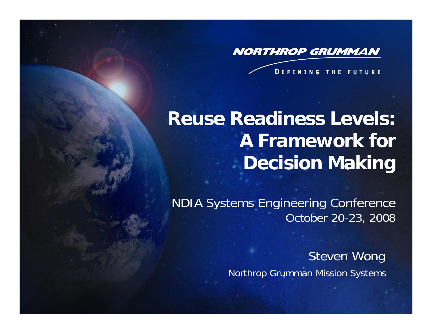**NORTHROP GRUMMAN** 

**DEFINING THE FUTURE** 

# **Reuse Readiness Levels: A Framework for Decision Making**

NDIA Systems Engineering Conference October 20-23, 2008

> Steven Wong Northrop Grumman Mission Systems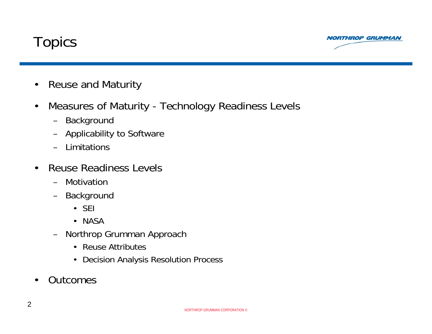



- •Reuse and Maturity
- • Measures of Maturity - Technology Readiness Levels
	- Background
	- Applicability to Software
	- –Limitations
- • Reuse Readiness Levels
	- –Motivation
	- Background
		- SEI
		- NASA
	- Northrop Grumman Approach
		- Reuse Attributes
		- Decision Analysis Resolution Process
- •**Outcomes**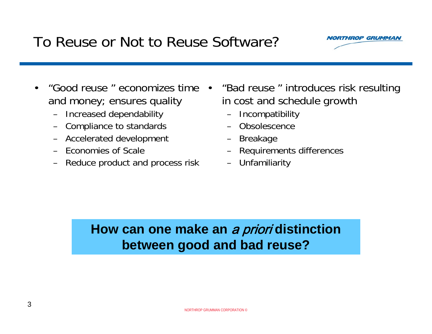### To Reuse or Not to Reuse Software?

- • "Good reuse " economizes time and money; ensures quality •
	- Increased dependability
	- –Compliance to standards
	- Accelerated development
	- Economies of Scale
	- –Reduce product and process risk
- "Bad reuse " introduces risk resulting in cost and schedule growth
	- –**Incompatibility**
	- –**Obsolescence**
	- –Breakage
	- –Requirements differences
	- –**Unfamiliarity**

### **How can one make an** a priori **distinction between good and bad reuse?**

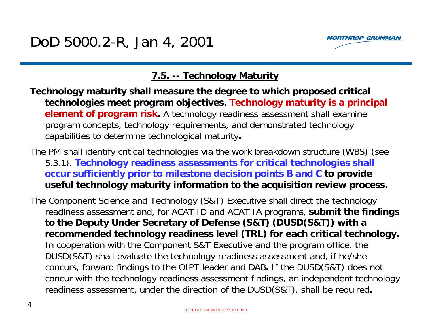

### **7.5. -- Technology Maturity**

- **Technology maturity shall measure the degree to which proposed critical technologies meet program objectives. Technology maturity is a principal element of program risk.** A technology readiness assessment shall examine program concepts, technology requirements, and demonstrated technology capabilities to determine technological maturity**.**
- The PM shall identify critical technologies via the work breakdown structure (WBS) (see 5.3.1). **Technology readiness assessments for critical technologies shall occur sufficiently prior to milestone decision points B and C to provide useful technology maturity information to the acquisition review process.**
- The Component Science and Technology (S&T) Executive shall direct the technology readiness assessment and, for ACAT ID and ACAT IA programs, **submit the findings to the Deputy Under Secretary of Defense (S&T) (DUSD(S&T)) with a recommended technology readiness level (TRL) for each critical technology.**  In cooperation with the Component S&T Executive and the program office, the DUSD(S&T) shall evaluate the technology readiness assessment and, if he/she concurs, forward findings to the OIPT leader and DAB**.** If the DUSD(S&T) does not concur with the technology readiness assessment findings, an independent technology readiness assessment, under the direction of the DUSD(S&T), shall be required**.**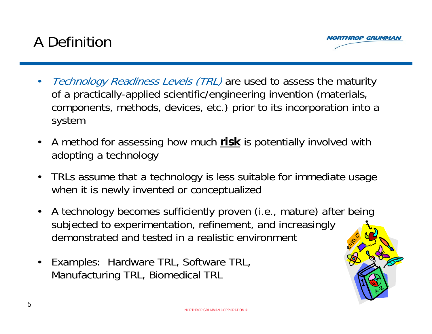## A Definition



- •Technology Readiness Levels (TRL) are used to assess the maturity of a practically-applied scientific/engineering invention (materials, components, methods, devices, etc.) prior to its incorporation into a system
- $\bullet$  A method for assessing how much **risk** is potentially involved with adopting a technology
- $\bullet$  TRLs assume that a technology is less suitable for immediate usage when it is newly invented or conceptualized
- $\bullet$  A technology becomes sufficiently proven (i.e., mature) after being subjected to experimentation, refinement, and increasingly demonstrated and tested in a realistic environment
- $\bullet$  Examples: Hardware TRL, Software TRL, Manufacturing TRL, Biomedical TRL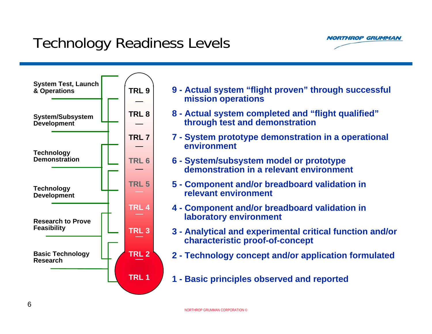## Technology Readiness Levels





|                    | 9 - Actual system "flight proven" through successful |  |
|--------------------|------------------------------------------------------|--|
| mission operations |                                                      |  |

- **8 - Actual system completed and "flight qualified" through test and demonstration**
- **7 - System prototype demonstration in a operational environment**
- **6 - System/subsystem model or prototype demonstration in a relevant environment**
- **5 - Component and/or breadboard validation in relevant environment**
- **4 - Component and/or breadboard validation in laboratory environment**
- **3 - Analytical and experimental critical function and/or characteristic proof-of-concept**
- **2 - Technology concept and/or application formulated**
- **1 - Basic principles observed and reported**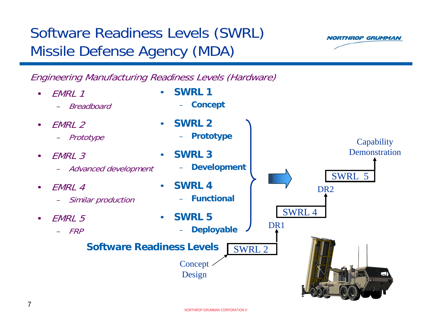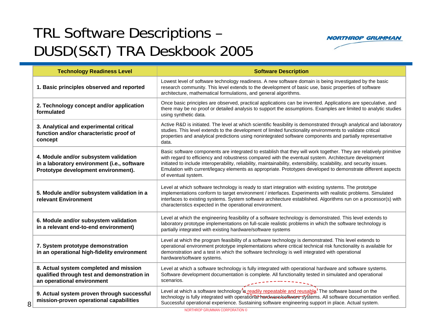# TRL Software Descriptions – DUSD(S&T) TRA Deskbook 2005



| <b>Technology Readiness Level</b>                                                                                           | <b>Software Description</b>                                                                                                                                                                                                                                                                                                                                                                                                                                                               |  |  |  |  |
|-----------------------------------------------------------------------------------------------------------------------------|-------------------------------------------------------------------------------------------------------------------------------------------------------------------------------------------------------------------------------------------------------------------------------------------------------------------------------------------------------------------------------------------------------------------------------------------------------------------------------------------|--|--|--|--|
| 1. Basic principles observed and reported                                                                                   | Lowest level of software technology readiness. A new software domain is being investigated by the basic<br>research community. This level extends to the development of basic use, basic properties of software<br>architecture, mathematical formulations, and general algorithms.                                                                                                                                                                                                       |  |  |  |  |
| 2. Technology concept and/or application<br>formulated                                                                      | Once basic principles are observed, practical applications can be invented. Applications are speculative, and<br>there may be no proof or detailed analysis to support the assumptions. Examples are limited to analytic studies<br>using synthetic data.                                                                                                                                                                                                                                 |  |  |  |  |
| 3. Analytical and experimental critical<br>function and/or characteristic proof of<br>concept                               | Active R&D is initiated. The level at which scientific feasibility is demonstrated through analytical and laboratory<br>studies. This level extends to the development of limited functionality environments to validate critical<br>properties and analytical predictions using nonintegrated software components and partially representative<br>data.                                                                                                                                  |  |  |  |  |
| 4. Module and/or subsystem validation<br>in a laboratory environment (i.e., software<br>Prototype development environment). | Basic software components are integrated to establish that they will work together. They are relatively primitive<br>with regard to efficiency and robustness compared with the eventual system. Architecture development<br>initiated to include interoperability, reliability, maintainability, extensibility, scalability, and security issues.<br>Emulation with current/legacy elements as appropriate. Prototypes developed to demonstrate different aspects<br>of eventual system. |  |  |  |  |
| 5. Module and/or subsystem validation in a<br>relevant Environment                                                          | Level at which software technology is ready to start integration with existing systems. The prototype<br>implementations conform to target environment / interfaces. Experiments with realistic problems. Simulated<br>interfaces to existing systems. System software architecture established. Algorithms run on a processor(s) with<br>characteristics expected in the operational environment.                                                                                        |  |  |  |  |
| 6. Module and/or subsystem validation<br>in a relevant end-to-end environment)                                              | Level at which the engineering feasibility of a software technology is demonstrated. This level extends to<br>laboratory prototype implementations on full-scale realistic problems in which the software technology is<br>partially integrated with existing hardware/software systems                                                                                                                                                                                                   |  |  |  |  |
| 7. System prototype demonstration<br>in an operational high-fidelity environment                                            | Level at which the program feasibility of a software technology is demonstrated. This level extends to<br>operational environment prototype implementations where critical technical risk functionality is available for<br>demonstration and a test in which the software technology is well integrated with operational<br>hardware/software systems.                                                                                                                                   |  |  |  |  |
| 8. Actual system completed and mission<br>qualified through test and demonstration in<br>an operational environment         | Level at which a software technology is fully integrated with operational hardware and software systems.<br>Software development documentation is complete. All functionality tested in simulated and operational<br>scenarios.                                                                                                                                                                                                                                                           |  |  |  |  |
| 9. Actual system proven through successful<br>mission-proven operational capabilities<br>8                                  | Level at which a software technology is readily repeatable and reusable. The software based on the<br>technology is fully integrated with operational hardware/seftware systems. All software documentation verified.<br>Successful operational experience. Sustaining software engineering support in place. Actual system.                                                                                                                                                              |  |  |  |  |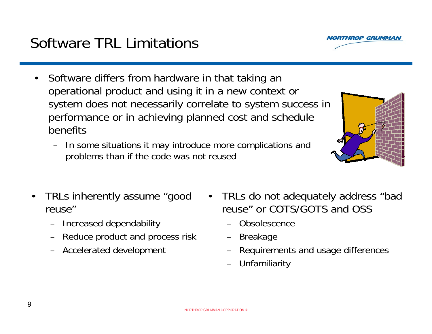•

### Software TRL Limitations

- • Software differs from hardware in that taking an operational product and using it in a new context or system does not necessarily correlate to system success in performance or in achieving planned cost and schedule benefits
	- In some situations it may introduce more complications and problems than if the code was not reused
- • TRLs inherently assume "good reuse"
	- –Increased dependability
	- –Reduce product and process risk
	- –Accelerated development
- TRLs do not adequately address "bad reuse" or COTS/GOTS and OSS
	- Obsolescence
	- –Breakage
	- –Requirements and usage differences
	- –**Unfamiliarity**



**IROP GRUMMA**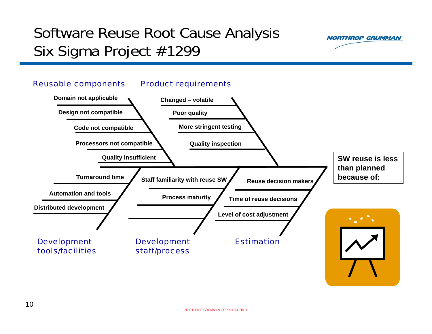# Software Reuse Root Cause Analysis Six Sigma Project #1299



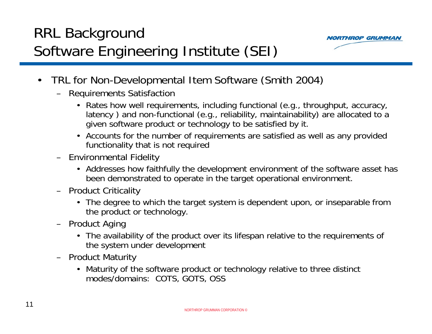# RRL Background Software Engineering Institute (SEI)



- • TRL for Non-Developmental Item Software (Smith 2004)
	- Requirements Satisfaction
		- Rates how well requirements, including functional (e.g., throughput, accuracy, latency ) and non-functional (e.g., reliability, maintainability) are allocated to <sup>a</sup> given software product or technology to be satisfied by it.
		- Accounts for the number of requirements are satisfied as well as any provided functionality that is not required
	- Environmental Fidelity
		- Addresses how faithfully the development environment of the software asset has been demonstrated to operate in the target operational environment.
	- Product Criticality
		- The degree to which the target system is dependent upon, or inseparable from the product or technology.
	- Product Aging
		- The availability of the product over its lifespan relative to the requirements of the system under development
	- Product Maturity
		- Maturity of the software product or technology relative to three distinct modes/domains: COTS, GOTS, OSS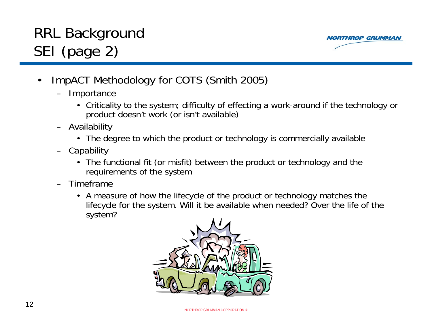# RRL Background SEI (page 2)



- • ImpACT Methodology for COTS (Smith 2005)
	- Importance
		- Criticality to the system; difficulty of effecting a work-around if the technology or product doesn't work (or isn't available)
	- Availability
		- The degree to which the product or technology is commercially available
	- Capability
		- The functional fit (or misfit) between the product or technology and the requirements of the system
	- – Timeframe
		- A measure of how the lifecycle of the product or technology matches the lifecycle for the system. Will it be available when needed? Over the life of the system?

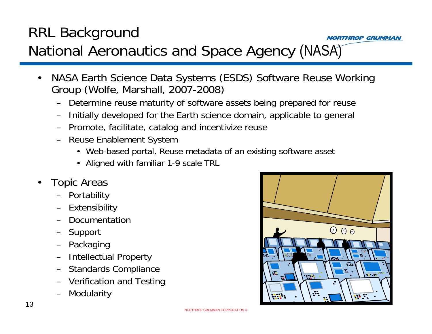### RRL Background **NORTHROP GRUMMAN** National Aeronautics and Space Agency (NASA)

- • NASA Earth Science Data Systems (ESDS) Software Reuse Working Group (Wolfe, Marshall, 2007-2008)
	- Determine reuse maturity of software assets being prepared for reuse
	- Initially developed for the Earth science domain, applicable to general
	- Promote, facilitate, catalog and incentivize reuse
	- Reuse Enablement System
		- Web-based portal, Reuse metadata of an existing software asset
		- Aligned with familiar 1-9 scale TRL
- • Topic Areas
	- Portability
	- Extensibility
	- Documentation
	- Support
	- Packaging
	- Intellectual Property
	- Standards Compliance
	- Verification and Testing
	- –Modularity

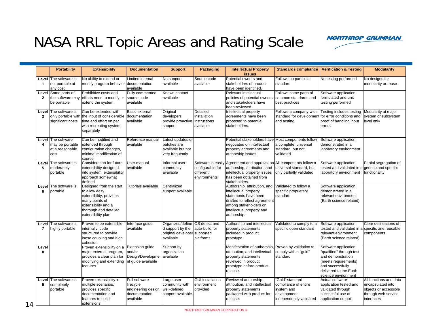### NASA RRL Topic Areas and Rating Scale



|                | <b>Portability</b>                                               | <b>Extensibility</b>                                                                                                                                        | <b>Documentation</b>                                                           | <b>Support</b>                                                                                  | <b>Packaging</b>                                                    | <b>Intellectual Property</b><br><b>issues</b>                                                                                                                                      | <b>Standards compliance</b>                                                                      | <b>Verification &amp; Testing</b>                                                                                                                                  | <b>Modularity</b>                                                                                         |
|----------------|------------------------------------------------------------------|-------------------------------------------------------------------------------------------------------------------------------------------------------------|--------------------------------------------------------------------------------|-------------------------------------------------------------------------------------------------|---------------------------------------------------------------------|------------------------------------------------------------------------------------------------------------------------------------------------------------------------------------|--------------------------------------------------------------------------------------------------|--------------------------------------------------------------------------------------------------------------------------------------------------------------------|-----------------------------------------------------------------------------------------------------------|
| -1             | Level The software is<br>not portable at<br>any cost             | No ability to extend or<br>modify program behavior                                                                                                          | Limited internal<br>documentation<br>available                                 | No support<br>available                                                                         | Source code<br>available                                            | Potential owners and<br>stakeholders of product<br>have been identified.                                                                                                           | Follows no particular<br>standard                                                                | No testing performed                                                                                                                                               | No designs for<br>modularity or reuse                                                                     |
| $\overline{2}$ | Level Some parts of<br>the software may<br>be portable           | Prohibitive costs and<br>efforts need to modify or<br>extend the system                                                                                     | Fully commented<br>source code<br>available                                    | Known contact<br>available                                                                      |                                                                     | Relevant intellectual<br>policies of potential owners<br>and stakeholders have<br>been reviewed.                                                                                   | Follows some parts of<br>common standards and<br>best practices                                  | Software application<br>formulated and unit<br>testing performed                                                                                                   |                                                                                                           |
| 3              | <b>Level The software is</b><br>significant costs                | Can be extended with<br>only portable with the input of considerable documentation<br>time and effort on par<br>with recreating system<br>separately        | Basic external<br>available                                                    | Original<br>developers<br>provide proactive<br>support                                          | Detailed<br>installation<br>instructions<br>available               | Intellectual property<br>agreements have been<br>proposed to potential<br>stakeholders.                                                                                            | Follows a company-wide<br>standard for development<br>and testing                                | Testing includes testing<br>for error conditions and<br>proof of handling input<br>errors                                                                          | Modularity at major<br>system or subsystem<br>level only                                                  |
| 4              | Level The software<br>may be portable<br>at a reasonable<br>cost | Can be modified and<br>extended through<br>configuration changes,<br>minimal modification of<br>source                                                      | Reference manual<br>available                                                  | Latest updates or<br>patches are<br>available but not<br>very frequently                        |                                                                     | Potential stakeholders have<br>negotiated on intellectual<br>property agreements and<br>authorship issues.                                                                         | Most components follow<br>a complete, universal<br>standard, but not<br>validated                | Software application<br>demonstrated in a<br>laboratory environment                                                                                                |                                                                                                           |
| Level<br>5     | The software is<br>moderately<br>portable                        | Consideration for future<br>extensibility designed<br>into system, extensibility<br>approach somewhat<br>defined                                            | User manual<br>available                                                       | Informal user<br>community<br>available                                                         | Software is easily<br>configurable for<br>different<br>environments | Agreement and approval on<br>authorship, attribution, and<br>intellectual property issues<br>has been obtained from<br>stakeholders.                                               | All components follow a<br>universal standard, but<br>only partially validated                   | Software application<br>tested and validated in a generic and specific<br>laboratory environment                                                                   | Partial segregation of<br>functionality                                                                   |
| Level<br>6     | The software is<br>portable                                      | Designed from the start<br>to allow easy<br>extensibility, provides<br>many points of<br>extensibility and a<br>thorough and detailed<br>extensibility plan | Tutorials available                                                            | Centralized<br>support available                                                                |                                                                     | Authorship, attribution, and<br>intellectual property<br>statements have been<br>drafted to reflect agreement<br>among stakeholders on<br>intellectual property and<br>authorship. | Validated to follow a<br>specific proprietary<br>standard                                        | Software application<br>demonstrated in a<br>relevant environment<br>(Earth science related)                                                                       |                                                                                                           |
| $\overline{7}$ | <b>Level The software is</b><br>highly portable                  | Proven to be extensible<br>internally, code<br>structured to provide<br>loose coupling and high<br>cohesion                                                 | Interface guide<br>available                                                   | Organized/define OS detect and<br>d support by the<br>original developer supported<br>available | auto-build for<br>platforms                                         | Authorship and intellectual<br>property statements<br>included in product<br>prototype.                                                                                            | Validated to comply to a<br>specific open standard                                               | Software application<br>tested and validated in a specific and reusable<br>relevant environment<br>(Earth science related)                                         | Clear delineations of<br>components                                                                       |
| Level<br>8     |                                                                  | Proven extensibility on a<br>major external program,<br>provides a clear plan for<br>modifying and extending nt guide available<br>features                 | <b>Extension quide</b><br>and/or<br>Design/Developme                           | Support by<br>organization<br>available                                                         |                                                                     | Manifestation of authorship,<br>attribution, and intellectual<br>property statements<br>reviewed in product<br>prototype before product<br>release.                                | Proven by validation to<br>comply with a "gold"<br>standard                                      | Software application<br>"qualified" through test<br>and demonstration<br>(meets requirements)<br>and successfully<br>delivered to the Earth<br>science environment |                                                                                                           |
| 9              | Level The software is<br>completely<br>portable                  | Proven extensibility in<br>multiple scenarios.<br>provides specific<br>documentation and<br>features to build<br>extensions                                 | Full software<br>lifecycle<br>engineering design<br>documentation<br>available | Large user<br>community with<br>well-defined<br>support available                               | <b>GUI</b> installation<br>environment<br>provided                  | Reviewed authorship,<br>attribution, and intellectual<br>property statements<br>packaged with product for<br>release.                                                              | 'Gold" standard<br>compliance of entire<br>system and<br>development,<br>independently validated | Actual software<br>application tested and<br>validated through<br>successful use of<br>application output                                                          | All functions and data<br>encapsulated into<br>objects or accessible<br>through web service<br>interfaces |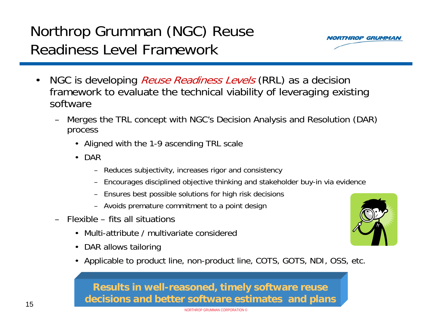#### NORTHROP GRUMMAN CORPORATION ©

## Northrop Grumman (NGC) Reuse Readiness Level Framework

- •NGC is developing *Reuse Readiness Levels* (RRL) as a decision framework to evaluate the technical viability of leveraging existing software
	- – Merges the TRL concept with NGC's Decision Analysis and Resolution (DAR) process
		- Aligned with the 1-9 ascending TRL scale
		- DAR
			- Reduces subjectivity, increases rigor and consistency
			- Encourages disciplined objective thinking and stakeholder buy-in via evidence
			- Ensures best possible solutions for high risk decisions
			- Avoids premature commitment to a point design
	- – Flexible – fits all situations
		- •Multi-attribute / multivariate considered
		- •DAR allows tailoring
		- Applicable to product line, non-product line, COTS, GOTS, NDI, OSS, etc.

### **Results in well-reasoned, timely software reuse decisions and better software estimates and plans**



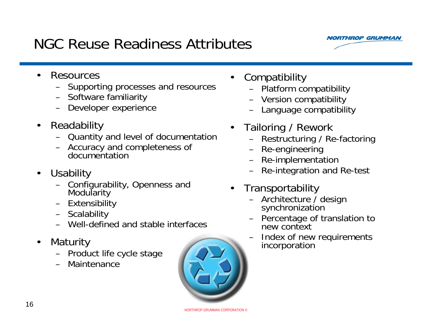### NGC Reuse Readiness Attributes

- • Resources
	- Supporting processes and resources
	- Software familiarity
	- Developer experience
- $\bullet$  Readability
	- Quantity and level of documentation
	- Accuracy and completeness of documentation
- $\bullet$ **Usability** 
	- Configurability, Openness and Modularity
	- Extensibility
	- Scalability
	- Well-defined and stable interfaces
- $\bullet$  Maturity
	- Product life cycle stage
	- –Maintenance
- •**Compatibility** 
	- Platform compatibility
	- Version compatibility
	- –Language compatibility
- • Tailoring / Rework
	- –Restructuring / Re-factoring
	- –Re-engineering
	- –Re-implementation
	- –Re-integration and Re-test
- $\bullet$ **Transportability** 
	- Architecture / design<br> synchronization
	- Percentage of translation to new context
	- –Index of new requirements incorporation





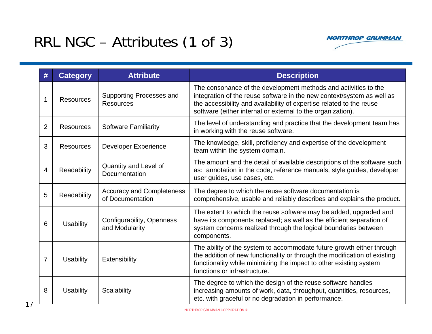## RRL NGC – Attributes (1 of 3)



| #              | <b>Category</b>  | <b>Attribute</b>                                     | <b>Description</b>                                                                                                                                                                                                                                                               |
|----------------|------------------|------------------------------------------------------|----------------------------------------------------------------------------------------------------------------------------------------------------------------------------------------------------------------------------------------------------------------------------------|
| 1              | <b>Resources</b> | <b>Supporting Processes and</b><br><b>Resources</b>  | The consonance of the development methods and activities to the<br>integration of the reuse software in the new context/system as well as<br>the accessibility and availability of expertise related to the reuse<br>software (either internal or external to the organization). |
| $\overline{2}$ | <b>Resources</b> | <b>Software Familiarity</b>                          | The level of understanding and practice that the development team has<br>in working with the reuse software.                                                                                                                                                                     |
| 3              | <b>Resources</b> | <b>Developer Experience</b>                          | The knowledge, skill, proficiency and expertise of the development<br>team within the system domain.                                                                                                                                                                             |
| 4              | Readability      | Quantity and Level of<br>Documentation               | The amount and the detail of available descriptions of the software such<br>as: annotation in the code, reference manuals, style guides, developer<br>user guides, use cases, etc.                                                                                               |
| 5              | Readability      | <b>Accuracy and Completeness</b><br>of Documentation | The degree to which the reuse software documentation is<br>comprehensive, usable and reliably describes and explains the product.                                                                                                                                                |
| 6              | <b>Usability</b> | Configurability, Openness<br>and Modularity          | The extent to which the reuse software may be added, upgraded and<br>have its components replaced; as well as the efficient separation of<br>system concerns realized through the logical boundaries between<br>components.                                                      |
| $\overline{7}$ | <b>Usability</b> | Extensibility                                        | The ability of the system to accommodate future growth either through<br>the addition of new functionality or through the modification of existing<br>functionality while minimizing the impact to other existing system<br>functions or infrastructure.                         |
| 8              | <b>Usability</b> | Scalability                                          | The degree to which the design of the reuse software handles<br>increasing amounts of work, data, throughput, quantities, resources,<br>etc. with graceful or no degradation in performance.                                                                                     |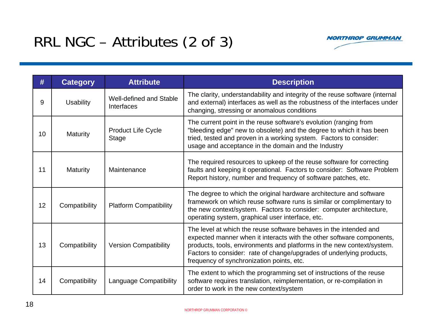### RRL NGC – Attributes (2 of 3)



| #  | <b>Category</b>  | <b>Attribute</b>                             | <b>Description</b>                                                                                                                                                                                                                                                                                                                        |
|----|------------------|----------------------------------------------|-------------------------------------------------------------------------------------------------------------------------------------------------------------------------------------------------------------------------------------------------------------------------------------------------------------------------------------------|
| 9  | <b>Usability</b> | Well-defined and Stable<br><b>Interfaces</b> | The clarity, understandability and integrity of the reuse software (internal<br>and external) interfaces as well as the robustness of the interfaces under<br>changing, stressing or anomalous conditions                                                                                                                                 |
| 10 | <b>Maturity</b>  | <b>Product Life Cycle</b><br><b>Stage</b>    | The current point in the reuse software's evolution (ranging from<br>"bleeding edge" new to obsolete) and the degree to which it has been<br>tried, tested and proven in a working system. Factors to consider:<br>usage and acceptance in the domain and the Industry                                                                    |
| 11 | <b>Maturity</b>  | Maintenance                                  | The required resources to upkeep of the reuse software for correcting<br>faults and keeping it operational. Factors to consider: Software Problem<br>Report history, number and frequency of software patches, etc.                                                                                                                       |
| 12 | Compatibility    | <b>Platform Compatibility</b>                | The degree to which the original hardware architecture and software<br>framework on which reuse software runs is similar or complimentary to<br>the new context/system. Factors to consider: computer architecture,<br>operating system, graphical user interface, etc.                                                                   |
| 13 | Compatibility    | <b>Version Compatibility</b>                 | The level at which the reuse software behaves in the intended and<br>expected manner when it interacts with the other software components,<br>products, tools, environments and platforms in the new context/system.<br>Factors to consider: rate of change/upgrades of underlying products,<br>frequency of synchronization points, etc. |
| 14 | Compatibility    | <b>Language Compatibility</b>                | The extent to which the programming set of instructions of the reuse<br>software requires translation, reimplementation, or re-compilation in<br>order to work in the new context/system                                                                                                                                                  |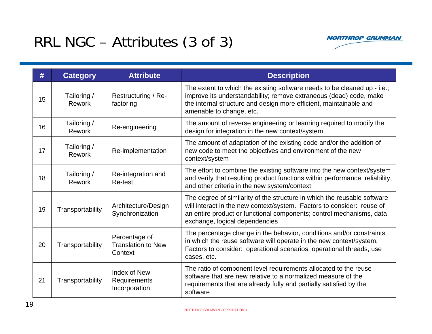## RRL NGC – Attributes (3 of 3)



| #  | <b>Category</b>              | <b>Attribute</b>                                      | <b>Description</b>                                                                                                                                                                                                                                           |
|----|------------------------------|-------------------------------------------------------|--------------------------------------------------------------------------------------------------------------------------------------------------------------------------------------------------------------------------------------------------------------|
| 15 | Tailoring /<br>Rework        | Restructuring / Re-<br>factoring                      | The extent to which the existing software needs to be cleaned up - i.e.;<br>improve its understandability; remove extraneous (dead) code, make<br>the internal structure and design more efficient, maintainable and<br>amenable to change, etc.             |
| 16 | Tailoring /<br>Rework        | Re-engineering                                        | The amount of reverse engineering or learning required to modify the<br>design for integration in the new context/system.                                                                                                                                    |
| 17 | Tailoring /<br><b>Rework</b> | Re-implementation                                     | The amount of adaptation of the existing code and/or the addition of<br>new code to meet the objectives and environment of the new<br>context/system                                                                                                         |
| 18 | Tailoring /<br>Rework        | Re-integration and<br>Re-test                         | The effort to combine the existing software into the new context/system<br>and verify that resulting product functions within performance, reliability,<br>and other criteria in the new system/context                                                      |
| 19 | Transportability             | Architecture/Design<br>Synchronization                | The degree of similarity of the structure in which the reusable software<br>will interact in the new context/system. Factors to consider: reuse of<br>an entire product or functional components; control mechanisms, data<br>exchange, logical dependencies |
| 20 | Transportability             | Percentage of<br><b>Translation to New</b><br>Context | The percentage change in the behavior, conditions and/or constraints<br>in which the reuse software will operate in the new context/system.<br>Factors to consider: operational scenarios, operational threads, use<br>cases, etc.                           |
| 21 | Transportability             | Index of New<br>Requirements<br>Incorporation         | The ratio of component level requirements allocated to the reuse<br>software that are new relative to a normalized measure of the<br>requirements that are already fully and partially satisfied by the<br>software                                          |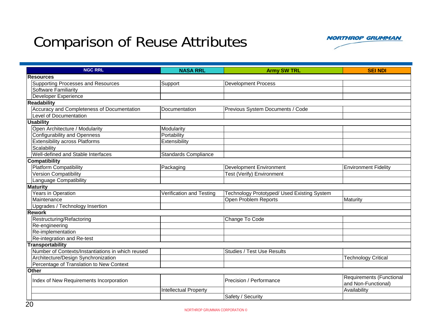### Comparison of Reuse Attributes



| <b>NGC RRL</b>                                    | <b>NASA RRL</b>              | <b>Army SW TRL</b>                          | <b>SEI NDI</b>              |
|---------------------------------------------------|------------------------------|---------------------------------------------|-----------------------------|
| <b>Resources</b>                                  |                              |                                             |                             |
| <b>Supporting Processes and Resources</b>         | Support                      | <b>Development Process</b>                  |                             |
| <b>Software Familiarity</b>                       |                              |                                             |                             |
| Developer Experience                              |                              |                                             |                             |
| <b>Readability</b>                                |                              |                                             |                             |
| Accuracy and Completeness of Documentation        | Documentation                | Previous System Documents / Code            |                             |
| Level of Documentation                            |                              |                                             |                             |
| <b>Usability</b>                                  |                              |                                             |                             |
| Open Architecture / Modularity                    | Modularity                   |                                             |                             |
| <b>Configurability and Openness</b>               | Portability                  |                                             |                             |
| <b>Extensibility across Platforms</b>             | Extensibility                |                                             |                             |
| Scalability                                       |                              |                                             |                             |
| Well-defined and Stable Interfaces                | <b>Standards Compliance</b>  |                                             |                             |
| <b>Compatibility</b>                              |                              |                                             |                             |
| <b>Platform Compatibility</b>                     | Packaging                    | <b>Development Environment</b>              | <b>Environment Fidelity</b> |
| <b>Version Compatibility</b>                      |                              | Test (Verify) Environment                   |                             |
| Language Compatibility                            |                              |                                             |                             |
| <b>Maturity</b>                                   |                              |                                             |                             |
| Years in Operation                                | Verification and Testing     | Technology Prototyped/ Used Existing System |                             |
| Maintenance                                       |                              | Open Problem Reports                        | Maturity                    |
| Upgrades / Technology Insertion                   |                              |                                             |                             |
| <b>Rework</b>                                     |                              |                                             |                             |
| Restructuring/Refactoring                         |                              | Change To Code                              |                             |
| Re-engineering                                    |                              |                                             |                             |
| Re-implementation                                 |                              |                                             |                             |
| Re-integration and Re-test                        |                              |                                             |                             |
| <b>Transportability</b>                           |                              |                                             |                             |
| Number of Contexts/Instantiations in which reused |                              | <b>Studies / Test Use Results</b>           |                             |
| Architecture/Design Synchronization               |                              |                                             | <b>Technology Critical</b>  |
| Percentage of Translation to New Context          |                              |                                             |                             |
| <b>Other</b>                                      |                              |                                             |                             |
| Index of New Requirements Incorporation           |                              | Precision / Performance                     | Requirements (Functional    |
|                                                   |                              |                                             | and Non-Functional)         |
|                                                   | <b>Intellectual Property</b> |                                             | Availability                |
|                                                   |                              | Safety / Security                           |                             |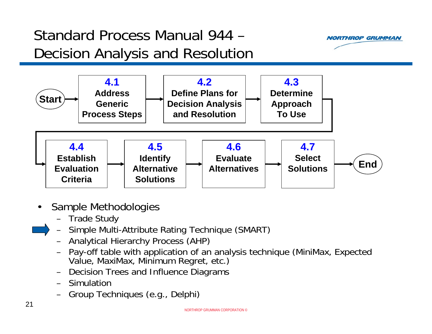# Standard Process Manual 944 –Decision Analysis and Resolution





- • Sample Methodologies
	- Trade Study
	- – Simple Multi-Attribute Rating Technique (SMART)
		- Analytical Hierarchy Process (AHP)
		- –Pay-off table with application of an analysis technique (MiniMax, Expected<br>Value, MaxiMax, Minimum Regret, etc.)
		- Decision Trees and Influence Diagrams
		- Simulation
		- –Group Techniques (e.g., Delphi)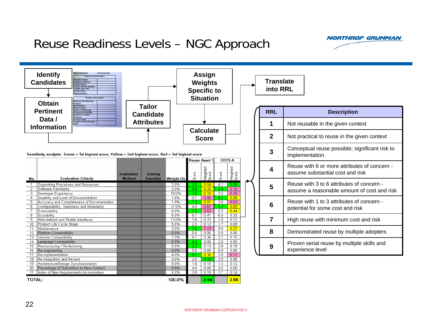### Reuse Readiness Levels – NGC Approach



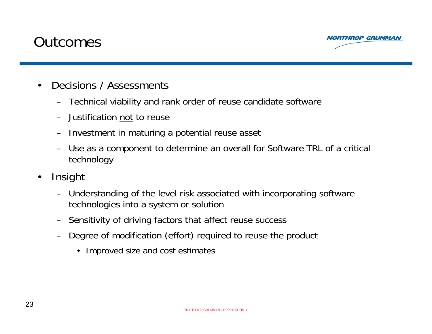### **Outcomes**



- • Decisions / Assessments
	- Technical viability and rank order of reuse candidate software
	- Justification not to reuse
	- Investment in maturing a potential reuse asset
	- – Use as a component to determine an overall for Software TRL of a critical technology
- • Insight
	- Understanding of the level risk associated with incorporating software technologies into a system or solution
	- Sensitivity of driving factors that affect reuse success
	- – Degree of modification (effort) required to reuse the product
		- Improved size and cost estimates